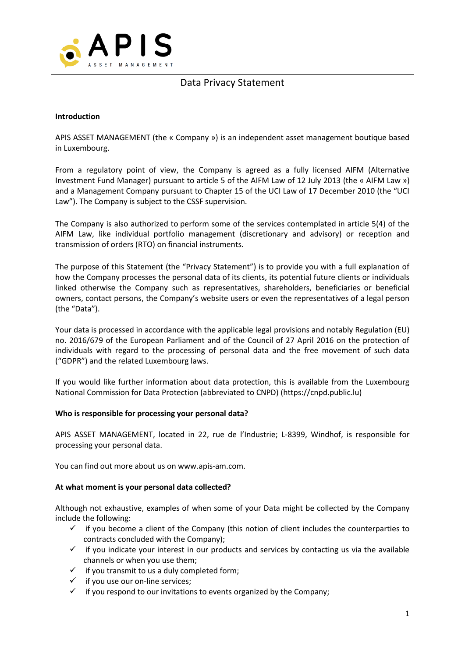

# Data Privacy Statement

#### **Introduction**

APIS ASSET MANAGEMENT (the « Company ») is an independent asset management boutique based in Luxembourg.

From a regulatory point of view, the Company is agreed as a fully licensed AIFM (Alternative Investment Fund Manager) pursuant to article 5 of the AIFM Law of 12 July 2013 (the « AIFM Law ») and a Management Company pursuant to Chapter 15 of the UCI Law of 17 December 2010 (the "UCI Law"). The Company is subject to the CSSF supervision.

The Company is also authorized to perform some of the services contemplated in article 5(4) of the AIFM Law, like individual portfolio management (discretionary and advisory) or reception and transmission of orders (RTO) on financial instruments.

The purpose of this Statement (the "Privacy Statement") is to provide you with a full explanation of how the Company processes the personal data of its clients, its potential future clients or individuals linked otherwise the Company such as representatives, shareholders, beneficiaries or beneficial owners, contact persons, the Company's website users or even the representatives of a legal person (the "Data").

Your data is processed in accordance with the applicable legal provisions and notably Regulation (EU) no. 2016/679 of the European Parliament and of the Council of 27 April 2016 on the protection of individuals with regard to the processing of personal data and the free movement of such data ("GDPR") and the related Luxembourg laws.

If you would like further information about data protection, this is available from the Luxembourg National Commission for Data Protection (abbreviated to CNPD) (https://cnpd.public.lu)

#### **Who is responsible for processing your personal data?**

APIS ASSET MANAGEMENT, located in 22, rue de l'Industrie; L-8399, Windhof, is responsible for processing your personal data.

You can find out more about us on www.apis-am.com.

## **At what moment is your personal data collected?**

Although not exhaustive, examples of when some of your Data might be collected by the Company include the following:

- $\checkmark$  if you become a client of the Company (this notion of client includes the counterparties to contracts concluded with the Company);
- $\checkmark$  if you indicate your interest in our products and services by contacting us via the available channels or when you use them;
- $\checkmark$  if you transmit to us a duly completed form;
- $\checkmark$  if you use our on-line services;
- $\checkmark$  if you respond to our invitations to events organized by the Company;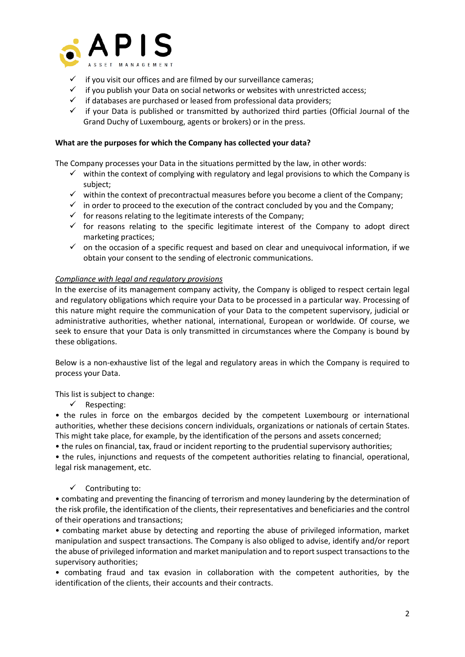

- $\checkmark$  if you visit our offices and are filmed by our surveillance cameras;
- $\checkmark$  if you publish your Data on social networks or websites with unrestricted access;
- ✓ if databases are purchased or leased from professional data providers;
- $\checkmark$  if your Data is published or transmitted by authorized third parties (Official Journal of the Grand Duchy of Luxembourg, agents or brokers) or in the press.

#### **What are the purposes for which the Company has collected your data?**

The Company processes your Data in the situations permitted by the law, in other words:

- $\checkmark$  within the context of complying with regulatory and legal provisions to which the Company is subject;
- $\checkmark$  within the context of precontractual measures before you become a client of the Company;
- $\checkmark$  in order to proceed to the execution of the contract concluded by you and the Company;
- $\checkmark$  for reasons relating to the legitimate interests of the Company;
- $\checkmark$  for reasons relating to the specific legitimate interest of the Company to adopt direct marketing practices;
- $\checkmark$  on the occasion of a specific request and based on clear and unequivocal information, if we obtain your consent to the sending of electronic communications.

#### *Compliance with legal and regulatory provisions*

In the exercise of its management company activity, the Company is obliged to respect certain legal and regulatory obligations which require your Data to be processed in a particular way. Processing of this nature might require the communication of your Data to the competent supervisory, judicial or administrative authorities, whether national, international, European or worldwide. Of course, we seek to ensure that your Data is only transmitted in circumstances where the Company is bound by these obligations.

Below is a non-exhaustive list of the legal and regulatory areas in which the Company is required to process your Data.

This list is subject to change:

✓ Respecting:

• the rules in force on the embargos decided by the competent Luxembourg or international authorities, whether these decisions concern individuals, organizations or nationals of certain States. This might take place, for example, by the identification of the persons and assets concerned;

• the rules on financial, tax, fraud or incident reporting to the prudential supervisory authorities;

• the rules, injunctions and requests of the competent authorities relating to financial, operational, legal risk management, etc.

## $\checkmark$  Contributing to:

• combating and preventing the financing of terrorism and money laundering by the determination of the risk profile, the identification of the clients, their representatives and beneficiaries and the control of their operations and transactions;

• combating market abuse by detecting and reporting the abuse of privileged information, market manipulation and suspect transactions. The Company is also obliged to advise, identify and/or report the abuse of privileged information and market manipulation and to report suspect transactions to the supervisory authorities;

• combating fraud and tax evasion in collaboration with the competent authorities, by the identification of the clients, their accounts and their contracts.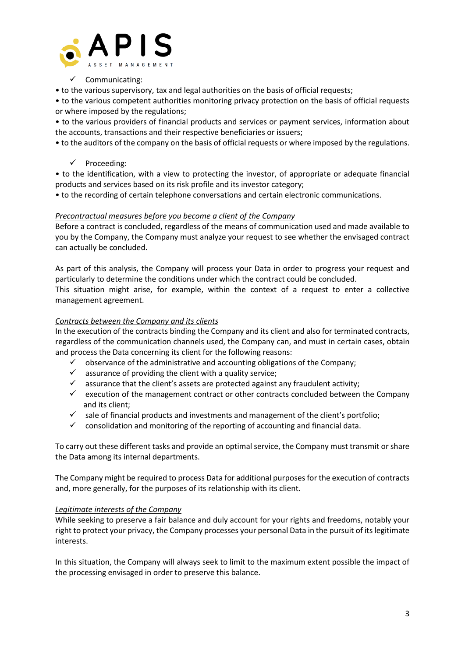

# ✓ Communicating:

• to the various supervisory, tax and legal authorities on the basis of official requests;

• to the various competent authorities monitoring privacy protection on the basis of official requests or where imposed by the regulations;

• to the various providers of financial products and services or payment services, information about the accounts, transactions and their respective beneficiaries or issuers;

• to the auditors of the company on the basis of official requests or where imposed by the regulations.

# ✓ Proceeding:

• to the identification, with a view to protecting the investor, of appropriate or adequate financial products and services based on its risk profile and its investor category;

• to the recording of certain telephone conversations and certain electronic communications.

# *Precontractual measures before you become a client of the Company*

Before a contract is concluded, regardless of the means of communication used and made available to you by the Company, the Company must analyze your request to see whether the envisaged contract can actually be concluded.

As part of this analysis, the Company will process your Data in order to progress your request and particularly to determine the conditions under which the contract could be concluded.

This situation might arise, for example, within the context of a request to enter a collective management agreement.

# *Contracts between the Company and its clients*

In the execution of the contracts binding the Company and its client and also for terminated contracts, regardless of the communication channels used, the Company can, and must in certain cases, obtain and process the Data concerning its client for the following reasons:

- $\checkmark$  observance of the administrative and accounting obligations of the Company;
- $\checkmark$  assurance of providing the client with a quality service;
- $\checkmark$  assurance that the client's assets are protected against any fraudulent activity;
- $\checkmark$  execution of the management contract or other contracts concluded between the Company and its client;
- $\checkmark$  sale of financial products and investments and management of the client's portfolio;
- $\checkmark$  consolidation and monitoring of the reporting of accounting and financial data.

To carry out these different tasks and provide an optimal service, the Company must transmit or share the Data among its internal departments.

The Company might be required to process Data for additional purposes for the execution of contracts and, more generally, for the purposes of its relationship with its client.

## *Legitimate interests of the Company*

While seeking to preserve a fair balance and duly account for your rights and freedoms, notably your right to protect your privacy, the Company processes your personal Data in the pursuit of its legitimate interests.

In this situation, the Company will always seek to limit to the maximum extent possible the impact of the processing envisaged in order to preserve this balance.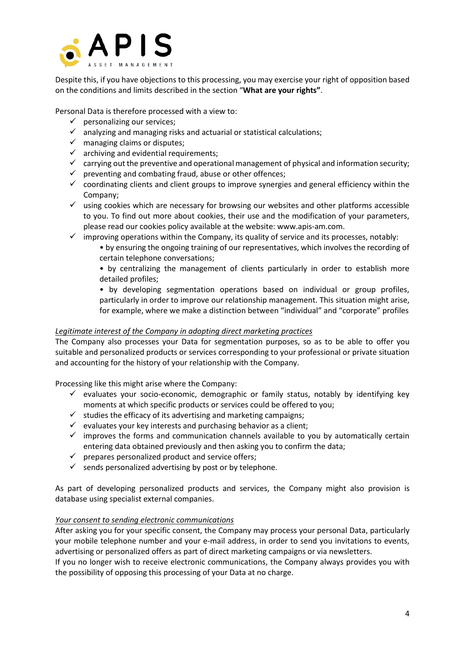

Despite this, if you have objections to this processing, you may exercise your right of opposition based on the conditions and limits described in the section "**What are your rights"**.

Personal Data is therefore processed with a view to:

- $\checkmark$  personalizing our services;
- $\checkmark$  analyzing and managing risks and actuarial or statistical calculations;
- $\checkmark$  managing claims or disputes;
- $\checkmark$  archiving and evidential requirements;
- $\checkmark$  carrying out the preventive and operational management of physical and information security;
- $\checkmark$  preventing and combating fraud, abuse or other offences;
- $\checkmark$  coordinating clients and client groups to improve synergies and general efficiency within the Company;
- ✓ using cookies which are necessary for browsing our websites and other platforms accessible to you. To find out more about cookies, their use and the modification of your parameters, please read our cookies policy available at the website: www.apis-am.com.
- $\checkmark$  improving operations within the Company, its quality of service and its processes, notably:
	- by ensuring the ongoing training of our representatives, which involves the recording of certain telephone conversations;
	- by centralizing the management of clients particularly in order to establish more detailed profiles;

• by developing segmentation operations based on individual or group profiles, particularly in order to improve our relationship management. This situation might arise, for example, where we make a distinction between "individual" and "corporate" profiles

## *Legitimate interest of the Company in adopting direct marketing practices*

The Company also processes your Data for segmentation purposes, so as to be able to offer you suitable and personalized products or services corresponding to your professional or private situation and accounting for the history of your relationship with the Company.

Processing like this might arise where the Company:

- $\checkmark$  evaluates your socio-economic, demographic or family status, notably by identifying key moments at which specific products or services could be offered to you;
- $\checkmark$  studies the efficacy of its advertising and marketing campaigns;
- $\checkmark$  evaluates your key interests and purchasing behavior as a client;
- $\checkmark$  improves the forms and communication channels available to you by automatically certain entering data obtained previously and then asking you to confirm the data;
- $\checkmark$  prepares personalized product and service offers;
- $\checkmark$  sends personalized advertising by post or by telephone.

As part of developing personalized products and services, the Company might also provision is database using specialist external companies.

# *Your consent to sending electronic communications*

After asking you for your specific consent, the Company may process your personal Data, particularly your mobile telephone number and your e-mail address, in order to send you invitations to events, advertising or personalized offers as part of direct marketing campaigns or via newsletters.

If you no longer wish to receive electronic communications, the Company always provides you with the possibility of opposing this processing of your Data at no charge.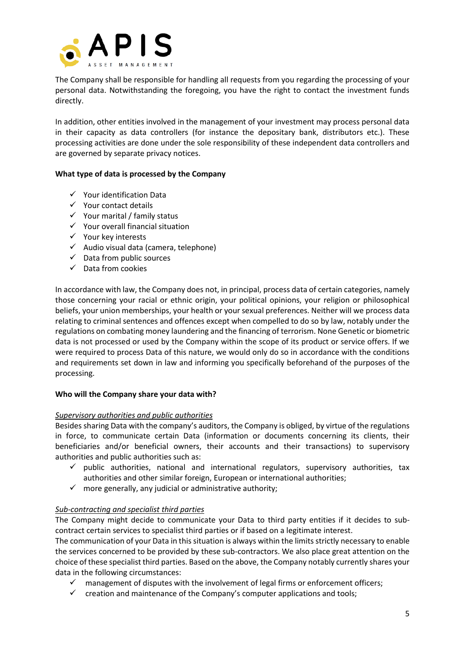

The Company shall be responsible for handling all requests from you regarding the processing of your personal data. Notwithstanding the foregoing, you have the right to contact the investment funds directly.

In addition, other entities involved in the management of your investment may process personal data in their capacity as data controllers (for instance the depositary bank, distributors etc.). These processing activities are done under the sole responsibility of these independent data controllers and are governed by separate privacy notices.

# **What type of data is processed by the Company**

- ✓ Your identification Data
- ✓ Your contact details
- $\checkmark$  Your marital / family status
- ✓ Your overall financial situation
- ✓ Your key interests
- $\checkmark$  Audio visual data (camera, telephone)
- $\checkmark$  Data from public sources
- ✓ Data from cookies

In accordance with law, the Company does not, in principal, process data of certain categories, namely those concerning your racial or ethnic origin, your political opinions, your religion or philosophical beliefs, your union memberships, your health or your sexual preferences. Neither will we process data relating to criminal sentences and offences except when compelled to do so by law, notably under the regulations on combating money laundering and the financing of terrorism. None Genetic or biometric data is not processed or used by the Company within the scope of its product or service offers. If we were required to process Data of this nature, we would only do so in accordance with the conditions and requirements set down in law and informing you specifically beforehand of the purposes of the processing.

## **Who will the Company share your data with?**

## *Supervisory authorities and public authorities*

Besides sharing Data with the company's auditors, the Company is obliged, by virtue of the regulations in force, to communicate certain Data (information or documents concerning its clients, their beneficiaries and/or beneficial owners, their accounts and their transactions) to supervisory authorities and public authorities such as:

- $\checkmark$  public authorities, national and international regulators, supervisory authorities, tax authorities and other similar foreign, European or international authorities;
- $\checkmark$  more generally, any judicial or administrative authority;

## *Sub-contracting and specialist third parties*

The Company might decide to communicate your Data to third party entities if it decides to subcontract certain services to specialist third parties or if based on a legitimate interest.

The communication of your Data in this situation is always within the limits strictly necessary to enable the services concerned to be provided by these sub-contractors. We also place great attention on the choice of these specialist third parties. Based on the above, the Company notably currently shares your data in the following circumstances:

- $\checkmark$  management of disputes with the involvement of legal firms or enforcement officers;
- $\checkmark$  creation and maintenance of the Company's computer applications and tools;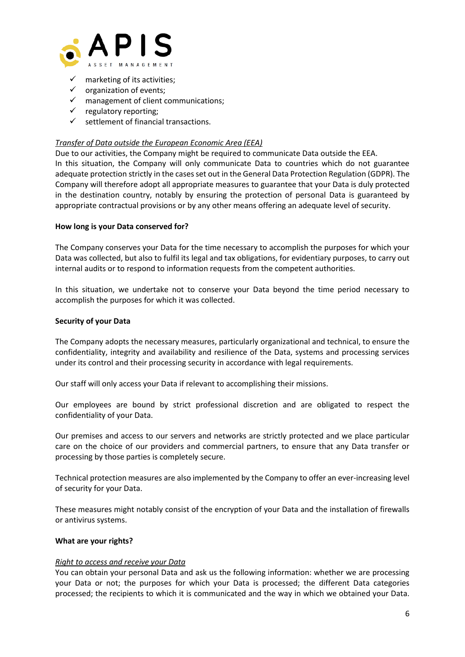

- $\checkmark$  marketing of its activities;
- organization of events;
- ✓ management of client communications;
- $\checkmark$  regulatory reporting;
- $\checkmark$  settlement of financial transactions.

## *Transfer of Data outside the European Economic Area (EEA)*

Due to our activities, the Company might be required to communicate Data outside the EEA. In this situation, the Company will only communicate Data to countries which do not guarantee adequate protection strictly in the cases set out in the General Data Protection Regulation (GDPR). The Company will therefore adopt all appropriate measures to guarantee that your Data is duly protected in the destination country, notably by ensuring the protection of personal Data is guaranteed by appropriate contractual provisions or by any other means offering an adequate level of security.

## **How long is your Data conserved for?**

The Company conserves your Data for the time necessary to accomplish the purposes for which your Data was collected, but also to fulfil its legal and tax obligations, for evidentiary purposes, to carry out internal audits or to respond to information requests from the competent authorities.

In this situation, we undertake not to conserve your Data beyond the time period necessary to accomplish the purposes for which it was collected.

#### **Security of your Data**

The Company adopts the necessary measures, particularly organizational and technical, to ensure the confidentiality, integrity and availability and resilience of the Data, systems and processing services under its control and their processing security in accordance with legal requirements.

Our staff will only access your Data if relevant to accomplishing their missions.

Our employees are bound by strict professional discretion and are obligated to respect the confidentiality of your Data.

Our premises and access to our servers and networks are strictly protected and we place particular care on the choice of our providers and commercial partners, to ensure that any Data transfer or processing by those parties is completely secure.

Technical protection measures are also implemented by the Company to offer an ever-increasing level of security for your Data.

These measures might notably consist of the encryption of your Data and the installation of firewalls or antivirus systems.

## **What are your rights?**

## *Right to access and receive your Data*

You can obtain your personal Data and ask us the following information: whether we are processing your Data or not; the purposes for which your Data is processed; the different Data categories processed; the recipients to which it is communicated and the way in which we obtained your Data.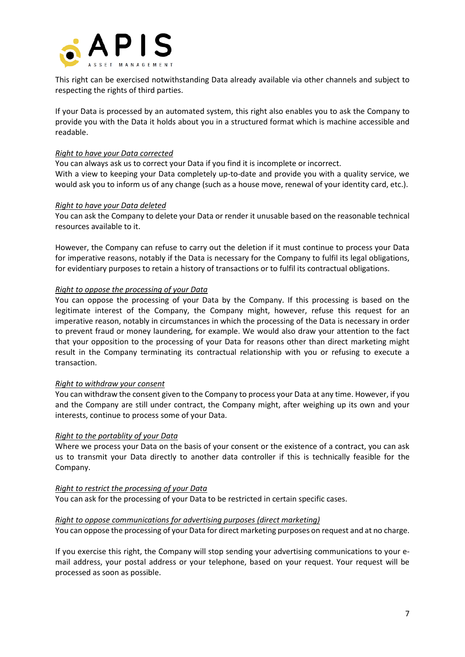

This right can be exercised notwithstanding Data already available via other channels and subject to respecting the rights of third parties.

If your Data is processed by an automated system, this right also enables you to ask the Company to provide you with the Data it holds about you in a structured format which is machine accessible and readable.

## *Right to have your Data corrected*

You can always ask us to correct your Data if you find it is incomplete or incorrect. With a view to keeping your Data completely up-to-date and provide you with a quality service, we would ask you to inform us of any change (such as a house move, renewal of your identity card, etc.).

# *Right to have your Data deleted*

You can ask the Company to delete your Data or render it unusable based on the reasonable technical resources available to it.

However, the Company can refuse to carry out the deletion if it must continue to process your Data for imperative reasons, notably if the Data is necessary for the Company to fulfil its legal obligations, for evidentiary purposes to retain a history of transactions or to fulfil its contractual obligations.

# *Right to oppose the processing of your Data*

You can oppose the processing of your Data by the Company. If this processing is based on the legitimate interest of the Company, the Company might, however, refuse this request for an imperative reason, notably in circumstances in which the processing of the Data is necessary in order to prevent fraud or money laundering, for example. We would also draw your attention to the fact that your opposition to the processing of your Data for reasons other than direct marketing might result in the Company terminating its contractual relationship with you or refusing to execute a transaction.

## *Right to withdraw your consent*

You can withdraw the consent given to the Company to process your Data at any time. However, if you and the Company are still under contract, the Company might, after weighing up its own and your interests, continue to process some of your Data.

## *Right to the portablity of your Data*

Where we process your Data on the basis of your consent or the existence of a contract, you can ask us to transmit your Data directly to another data controller if this is technically feasible for the Company.

## *Right to restrict the processing of your Data*

You can ask for the processing of your Data to be restricted in certain specific cases.

## *Right to oppose communications for advertising purposes (direct marketing)*

You can oppose the processing of your Data for direct marketing purposes on request and at no charge.

If you exercise this right, the Company will stop sending your advertising communications to your email address, your postal address or your telephone, based on your request. Your request will be processed as soon as possible.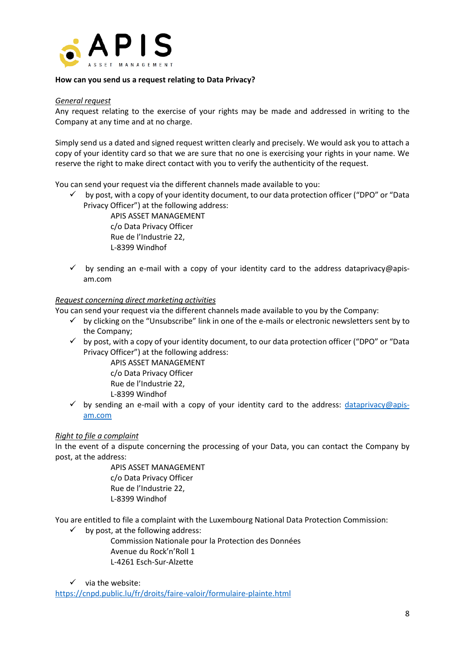

# **How can you send us a request relating to Data Privacy?**

## *General request*

Any request relating to the exercise of your rights may be made and addressed in writing to the Company at any time and at no charge.

Simply send us a dated and signed request written clearly and precisely. We would ask you to attach a copy of your identity card so that we are sure that no one is exercising your rights in your name. We reserve the right to make direct contact with you to verify the authenticity of the request.

You can send your request via the different channels made available to you:

by post, with a copy of your identity document, to our data protection officer ("DPO" or "Data Privacy Officer") at the following address:

> APIS ASSET MANAGEMENT c/o Data Privacy Officer Rue de l'Industrie 22, L-8399 Windhof

 $\checkmark$  by sending an e-mail with a copy of your identity card to the address dataprivacy@apisam.com

#### *Request concerning direct marketing activities*

You can send your request via the different channels made available to you by the Company:

- $\checkmark$  by clicking on the "Unsubscribe" link in one of the e-mails or electronic newsletters sent by to the Company;
- ✓ by post, with a copy of your identity document, to our data protection officer ("DPO" or "Data Privacy Officer") at the following address:
	- APIS ASSET MANAGEMENT
	- c/o Data Privacy Officer
	- Rue de l'Industrie 22,
	- L-8399 Windhof
- $\checkmark$  by sending an e-mail with a copy of your identity card to the address: [dataprivacy@apis](mailto:dataprivacy@apis-am.com)[am.com](mailto:dataprivacy@apis-am.com)

## *Right to file a complaint*

In the event of a dispute concerning the processing of your Data, you can contact the Company by post, at the address:

> APIS ASSET MANAGEMENT c/o Data Privacy Officer Rue de l'Industrie 22, L-8399 Windhof

You are entitled to file a complaint with the Luxembourg National Data Protection Commission:

 $\checkmark$  by post, at the following address: Commission Nationale pour la Protection des Données Avenue du Rock'n'Roll 1 L-4261 Esch-Sur-Alzette

 $\checkmark$  via the website:

[https://cnpd.public.lu/fr/droits/faire-valoir/formulaire-plainte.html](https://cnpd.public.lu/fr/droits/faire-valoir/formulaire-plainte.html%20or)